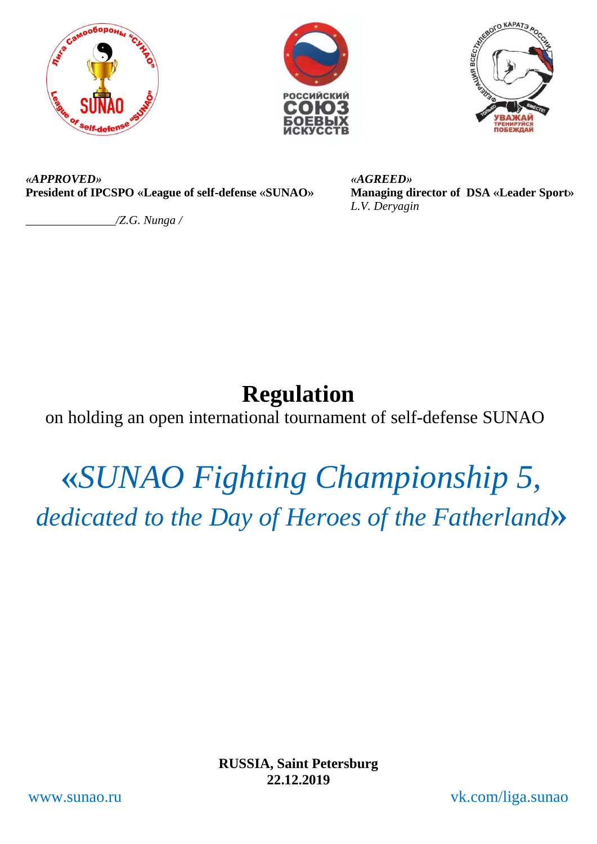





*«APPROVED»*  **President of IPCSPO «League of self-defense «SUNAO»**

*\_\_\_\_\_\_\_\_\_\_\_\_\_\_\_/Z.G. Nunga /* 

*«AGREED»*  **Managing director of DSA «Leader Sport»** *L.V. Deryagin*

# **Regulation**

on holding an open international tournament of self-defense SUNAO

# **«***SUNAO Fighting Championship 5, dedicated to the Day of Heroes of the Fatherland***»**

**RUSSIA, Saint Petersburg 22.12.2019**

www.sunao.ru vk.com/liga.sunao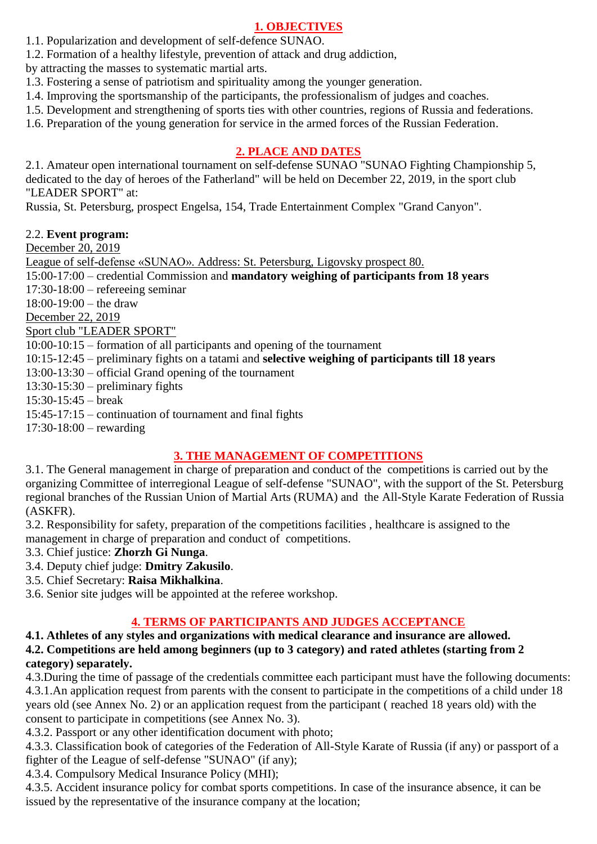#### **1. OBJECTIVES**

- 1.1. Popularization and development of self-defence SUNAO.
- 1.2. Formation of a healthy lifestyle, prevention of attack and drug addiction,
- by attracting the masses to systematic martial arts.
- 1.3. Fostering a sense of patriotism and spirituality among the younger generation.
- 1.4. Improving the sportsmanship of the participants, the professionalism of judges and coaches.
- 1.5. Development and strengthening of sports ties with other countries, regions of Russia and federations.
- 1.6. Preparation of the young generation for service in the armed forces of the Russian Federation.

#### **2. PLACE AND DATES**

2.1. Amateur open international tournament on self-defense SUNAO "SUNAO Fighting Championship 5, dedicated to the day of heroes of the Fatherland" will be held on December 22, 2019, in the sport club "LEADER SPORT" at:

Russia, St. Petersburg, prospect Engelsa, 154, Trade Entertainment Complex "Grand Canyon".

#### 2.2. **Event program:**

December 20, 2019

League of self-defense «SUNAO». Address: St. Petersburg, Ligovsky prospect 80. 15:00-17:00 – credential Commission and **mandatory weighing of participants from 18 years** 17:30-18:00 – refereeing seminar 18:00-19:00 – the draw December 22, 2019 Sport club "LEADER SPORT" 10:00-10:15 – formation of all participants and opening of the tournament 10:15-12:45 – preliminary fights on a tatami and **selective weighing of participants till 18 years** 13:00-13:30 – official Grand opening of the tournament 13:30-15:30 – preliminary fights 15:30-15:45 – break 15:45-17:15 – continuation of tournament and final fights

17:30-18:00 – rewarding

#### **3. THE MANAGEMENT OF COMPETITIONS**

3.1. The General management in charge of preparation and conduct of the competitions is carried out by the organizing Committee of interregional League of self-defense "SUNAO", with the support of the St. Petersburg regional branches of the Russian Union of Martial Arts (RUMA) and the All-Style Karate Federation of Russia (ASKFR).

3.2. Responsibility for safety, preparation of the competitions facilities , healthcare is assigned to the management in charge of preparation and conduct of competitions.

3.3. Chief justice: **Zhorzh Gi Nunga**.

- 3.4. Deputy chief judge: **Dmitry Zakusilo**.
- 3.5. Chief Secretary: **Raisa Mikhalkina**.

3.6. Senior site judges will be appointed at the referee workshop.

#### **4. TERMS OF PARTICIPANTS AND JUDGES ACCEPTANCE**

**4.1. Athletes of any styles and organizations with medical clearance and insurance are allowed. 4.2. Competitions are held among beginners (up to 3 category) and rated athletes (starting from 2 category) separately.**

4.3.During the time of passage of the credentials committee each participant must have the following documents: [4.3.1.An](https://vk.com/away.php?to=http%3A%2F%2F4.3.1.An&cc_key=) application request from parents with the consent to participate in the competitions of a child under 18 years old (see Annex No. 2) or an application request from the participant ( reached 18 years old) with the consent to participate in competitions (see Annex No. 3).

4.3.2. Passport or any other identification document with photo;

4.3.3. Classification book of categories of the Federation of All-Style Karate of Russia (if any) or passport of a fighter of the League of self-defense "SUNAO" (if any);

4.3.4. Compulsory Medical Insurance Policy (MHI);

4.3.5. Accident insurance policy for combat sports competitions. In case of the insurance absence, it can be issued by the representative of the insurance company at the location;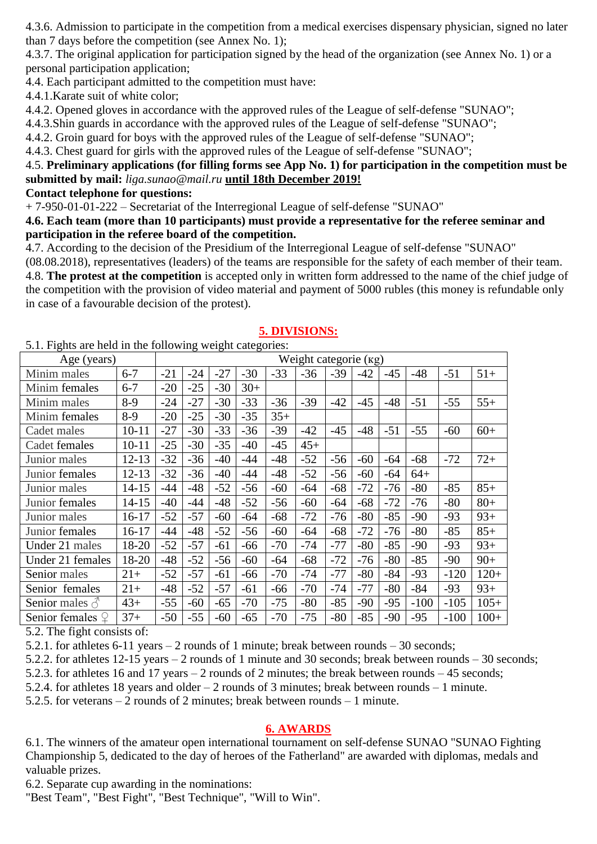4.3.6. Admission to participate in the competition from a medical exercises dispensary physician, signed no later than 7 days before the competition (see Annex No. 1);

4.3.7. The original application for participation signed by the head of the organization (see Annex No. 1) or a personal participation application;

4.4. Each participant admitted to the competition must have:

4.4.1.Karate suit of white color;

4.4.2. Opened gloves in accordance with the approved rules of the League of self-defense "SUNAO";

4.4.3.Shin guards in accordance with the approved rules of the League of self-defense "SUNAO";

4.4.2. Groin guard for boys with the approved rules of the League of self-defense "SUNAO";

4.4.3. Chest guard for girls with the approved rules of the League of self-defense "SUNAO";

#### 4.5. **Preliminary applications (for filling forms see App No. 1) for participation in the competition must be submitted by mail:** *[liga.sunao@mail.ru](mailto:liga.sunao@mail.ru)* **until 18th December 2019!**

#### **Contact telephone for questions:**

+ 7-950-01-01-222 – Secretariat of the Interregional League of self-defense "SUNAO"

#### **4.6. Each team (more than 10 participants) must provide a representative for the referee seminar and participation in the referee board of the competition.**

4.7. According to the decision of the Presidium of the Interregional League of self-defense "SUNAO"

(08.08.2018), representatives (leaders) of the teams are responsible for the safety of each member of their team. 4.8. **The protest at the competition** is accepted only in written form addressed to the name of the chief judge of the competition with the provision of video material and payment of 5000 rubles (this money is refundable only in case of a favourable decision of the protest).

| 5.1. Fights are held in the following weight categories: |                       |       |       |       |       |       |       |       |       |       |        |        |        |
|----------------------------------------------------------|-----------------------|-------|-------|-------|-------|-------|-------|-------|-------|-------|--------|--------|--------|
| Age (years)                                              | Weight categorie (kg) |       |       |       |       |       |       |       |       |       |        |        |        |
| Minim males                                              | $6 - 7$               | $-21$ | $-24$ | $-27$ | $-30$ | $-33$ | $-36$ | $-39$ | $-42$ | $-45$ | $-48$  | $-51$  | $51+$  |
| Minim females                                            | $6 - 7$               | $-20$ | $-25$ | $-30$ | $30+$ |       |       |       |       |       |        |        |        |
| Minim males                                              | $8-9$                 | $-24$ | $-27$ | $-30$ | $-33$ | $-36$ | $-39$ | $-42$ | $-45$ | $-48$ | $-51$  | $-55$  | $55+$  |
| Minim females                                            | $8-9$                 | $-20$ | $-25$ | $-30$ | $-35$ | $35+$ |       |       |       |       |        |        |        |
| Cadet males                                              | $10 - 11$             | $-27$ | $-30$ | $-33$ | $-36$ | $-39$ | $-42$ | $-45$ | $-48$ | $-51$ | $-55$  | $-60$  | $60+$  |
| Cadet females                                            | $10 - 11$             | $-25$ | $-30$ | $-35$ | $-40$ | $-45$ | $45+$ |       |       |       |        |        |        |
| Junior males                                             | $12 - 13$             | $-32$ | $-36$ | $-40$ | $-44$ | $-48$ | $-52$ | $-56$ | $-60$ | $-64$ | $-68$  | $-72$  | $72+$  |
| Junior females                                           | $12 - 13$             | $-32$ | $-36$ | $-40$ | $-44$ | $-48$ | $-52$ | $-56$ | $-60$ | $-64$ | $64+$  |        |        |
| Junior males                                             | 14-15                 | $-44$ | $-48$ | $-52$ | $-56$ | $-60$ | $-64$ | $-68$ | $-72$ | $-76$ | $-80$  | $-85$  | $85+$  |
| Junior females                                           | $14 - 15$             | $-40$ | $-44$ | $-48$ | $-52$ | $-56$ | $-60$ | $-64$ | $-68$ | $-72$ | $-76$  | $-80$  | $80+$  |
| Junior males                                             | 16-17                 | $-52$ | $-57$ | $-60$ | $-64$ | $-68$ | $-72$ | $-76$ | $-80$ | $-85$ | $-90$  | $-93$  | $93+$  |
| Junior females                                           | $16 - 17$             | $-44$ | $-48$ | $-52$ | $-56$ | $-60$ | $-64$ | $-68$ | $-72$ | $-76$ | $-80$  | $-85$  | $85+$  |
| Under 21 males                                           | 18-20                 | $-52$ | $-57$ | $-61$ | $-66$ | $-70$ | $-74$ | $-77$ | $-80$ | $-85$ | $-90$  | $-93$  | $93+$  |
| Under 21 females                                         | 18-20                 | $-48$ | $-52$ | $-56$ | $-60$ | $-64$ | $-68$ | $-72$ | $-76$ | $-80$ | $-85$  | $-90$  | $90+$  |
| Senior males                                             | $21+$                 | $-52$ | $-57$ | $-61$ | $-66$ | $-70$ | $-74$ | $-77$ | -80   | $-84$ | $-93$  | $-120$ | $120+$ |
| Senior females                                           | $21+$                 | $-48$ | $-52$ | $-57$ | $-61$ | -66   | $-70$ | $-74$ | $-77$ | $-80$ | $-84$  | $-93$  | $93+$  |
| Senior males $\delta$                                    | $43+$                 | $-55$ | $-60$ | $-65$ | $-70$ | $-75$ | $-80$ | $-85$ | -90   | $-95$ | $-100$ | $-105$ | $105+$ |
| Senior females $\mathcal{Q}$                             | $37+$                 | $-50$ | $-55$ | $-60$ | $-65$ | $-70$ | $-75$ | $-80$ | $-85$ | $-90$ | $-95$  | $-100$ | $100+$ |

#### **5. DIVISIONS:**

5.2. The fight consists of:

5.2.1. for athletes 6-11 years – 2 rounds of 1 minute; break between rounds – 30 seconds;

5.2.2. for athletes 12-15 years – 2 rounds of 1 minute and 30 seconds; break between rounds – 30 seconds;

5.2.3. for athletes 16 and 17 years – 2 rounds of 2 minutes; the break between rounds – 45 seconds;

5.2.4. for athletes 18 years and older – 2 rounds of 3 minutes; break between rounds – 1 minute.

5.2.5. for veterans – 2 rounds of 2 minutes; break between rounds – 1 minute.

#### **6. AWARDS**

6.1. The winners of the amateur open international tournament on self-defense SUNAO "SUNAO Fighting Championship 5, dedicated to the day of heroes of the Fatherland" are awarded with diplomas, medals and valuable prizes.

6.2. Separate cup awarding in the nominations:

"Best Team", "Best Fight", "Best Technique", "Will to Win".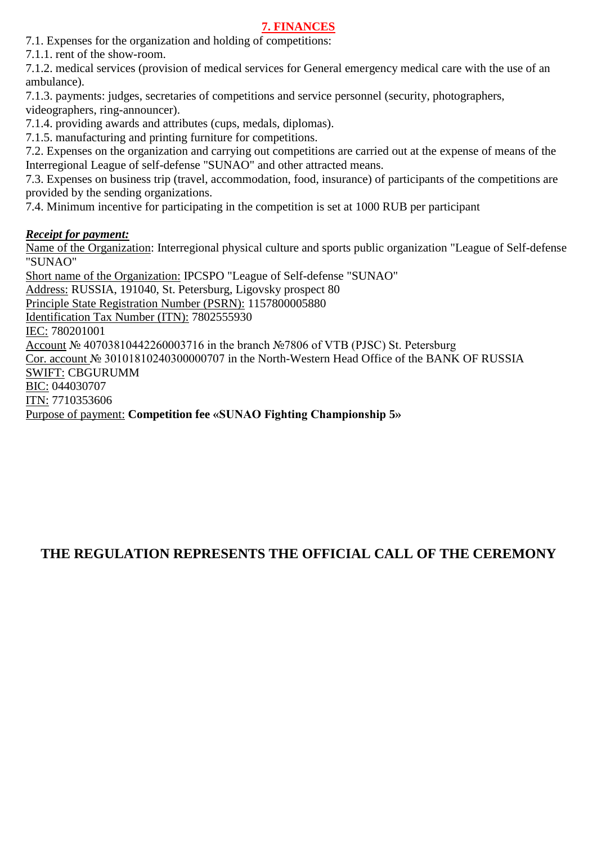#### **7. FINANCES**

7.1. Expenses for the organization and holding of competitions:

7.1.1. rent of the show-room.

7.1.2. medical services (provision of medical services for General emergency medical care with the use of an ambulance).

7.1.3. payments: judges, secretaries of competitions and service personnel (security, photographers, videographers, ring-announcer).

7.1.4. providing awards and attributes (cups, medals, diplomas).

7.1.5. manufacturing and printing furniture for competitions.

7.2. Expenses on the organization and carrying out competitions are carried out at the expense of means of the Interregional League of self-defense "SUNAO" and other attracted means.

7.3. Expenses on business trip (travel, accommodation, food, insurance) of participants of the competitions are provided by the sending organizations.

7.4. Minimum incentive for participating in the competition is set at 1000 RUB per participant

#### *Receipt for payment:*

Name of the Organization: Interregional physical culture and sports public organization "League of Self-defense "SUNAO"

Short name of the Organization: IPCSPO "League of Self-defense "SUNAO" Address: RUSSIA, 191040, St. Petersburg, Ligovsky prospect 80 Principle State Registration Number (PSRN): 1157800005880 Identification Tax Number (ITN): 7802555930 IEC: 780201001 Account № 40703810442260003716 in the branch №7806 of VTB (PJSC) St. Petersburg Cor. account № 30101810240300000707 in the North-Western Head Office of the BANK OF RUSSIA SWIFT: CBGURUMM BIC: 044030707 ITN: 7710353606 Purpose of payment: **Competition fee «SUNAO Fighting Championship 5»**

## **THE REGULATION REPRESENTS THE OFFICIAL CALL OF THE CEREMONY**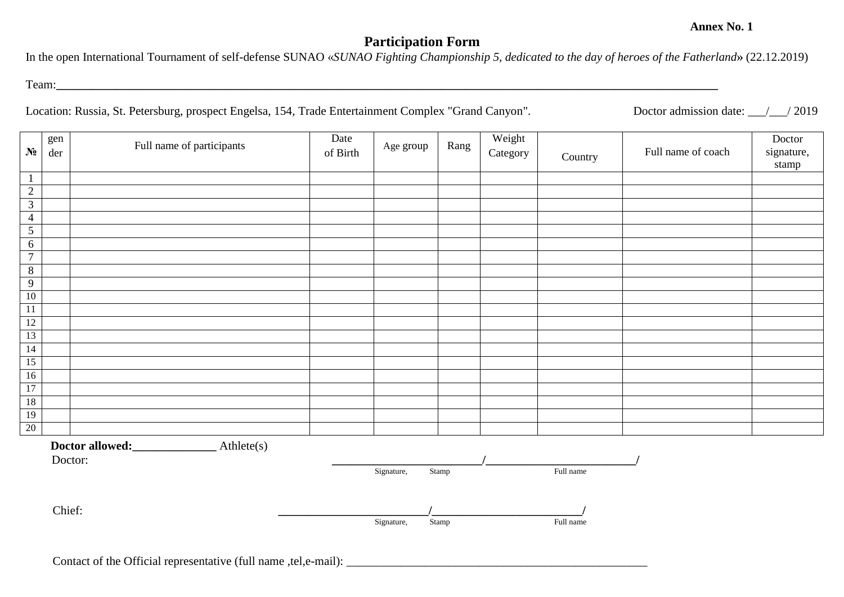#### **Participation Form**

In the open International Tournament of self-defense SUNAO «*SUNAO Fighting Championship 5, dedicated to the day of heroes of the Fatherland***»** (22.12.2019)

Team:

Location: Russia, St. Petersburg, prospect Engelsa, 154, Trade Entertainment Complex "Grand Canyon". Doctor admission date: 1 / 2019

| $N_2$           | gen<br>der | Full name of participants     | Date<br>of Birth | Age group                | Rang           | Weight<br>Category | Country                | Full name of coach | Doctor<br>signature,<br>stamp |
|-----------------|------------|-------------------------------|------------------|--------------------------|----------------|--------------------|------------------------|--------------------|-------------------------------|
| $\mathbf{1}$    |            |                               |                  |                          |                |                    |                        |                    |                               |
| $\overline{2}$  |            |                               |                  |                          |                |                    |                        |                    |                               |
| $\overline{3}$  |            |                               |                  |                          |                |                    |                        |                    |                               |
| $\overline{4}$  |            |                               |                  |                          |                |                    |                        |                    |                               |
| $\overline{5}$  |            |                               |                  |                          |                |                    |                        |                    |                               |
| $6\phantom{.}6$ |            |                               |                  |                          |                |                    |                        |                    |                               |
| $\overline{7}$  |            |                               |                  |                          |                |                    |                        |                    |                               |
| $\overline{8}$  |            |                               |                  |                          |                |                    |                        |                    |                               |
| 9               |            |                               |                  |                          |                |                    |                        |                    |                               |
| 10              |            |                               |                  |                          |                |                    |                        |                    |                               |
| 11              |            |                               |                  |                          |                |                    |                        |                    |                               |
| 12              |            |                               |                  |                          |                |                    |                        |                    |                               |
| 13<br>14        |            |                               |                  |                          |                |                    |                        |                    |                               |
| $\overline{15}$ |            |                               |                  |                          |                |                    |                        |                    |                               |
| $16\,$          |            |                               |                  |                          |                |                    |                        |                    |                               |
| 17              |            |                               |                  |                          |                |                    |                        |                    |                               |
| $18$            |            |                               |                  |                          |                |                    |                        |                    |                               |
| $\overline{19}$ |            |                               |                  |                          |                |                    |                        |                    |                               |
| $20\,$          |            |                               |                  |                          |                |                    |                        |                    |                               |
|                 | Doctor:    | Athlete(s)<br>Doctor allowed: |                  |                          |                |                    |                        |                    |                               |
|                 | Chief:     |                               |                  | Signature,<br>Signature, | Stamp<br>Stamp |                    | Full name<br>Full name |                    |                               |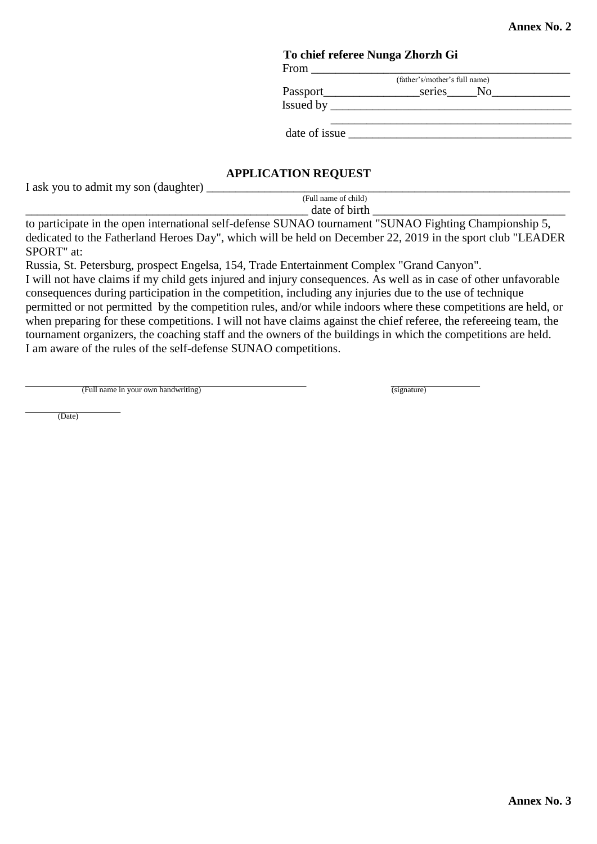### **To chief referee Nunga Zhorzh Gi**

 From \_\_\_\_\_\_\_\_\_\_\_\_\_\_\_\_\_\_\_\_\_\_\_\_\_\_\_\_\_\_\_\_\_\_\_\_\_\_\_\_\_\_\_ (father's/mother's full name)

Passport\_\_\_\_\_\_\_\_\_\_\_\_\_\_\_\_series\_\_\_\_\_No\_\_\_\_\_\_\_\_\_\_\_\_\_

Issued by \_\_\_\_\_\_\_\_\_\_\_\_\_\_\_\_\_\_\_\_\_\_\_\_\_\_\_\_\_\_\_\_\_\_\_\_\_\_\_\_

date of issue

#### **APPLICATION REQUEST**

I ask you to admit my son (daughter) \_\_\_\_\_\_\_\_\_\_\_\_\_\_\_\_\_\_\_\_\_\_\_\_\_\_\_\_\_\_\_\_\_\_\_\_\_\_\_\_\_\_\_\_\_\_\_\_\_\_\_\_\_\_\_\_\_\_\_\_\_\_\_

 (Full name of child)  $\frac{1}{\text{date of birth}}$ 

to participate in the open international self-defense SUNAO tournament "SUNAO Fighting Championship 5, dedicated to the Fatherland Heroes Day", which will be held on December 22, 2019 in the sport club "LEADER SPORT" at:

Russia, St. Petersburg, prospect Engelsa, 154, Trade Entertainment Complex "Grand Canyon".

I will not have claims if my child gets injured and injury consequences. As well as in case of other unfavorable consequences during participation in the competition, including any injuries due to the use of technique permitted or not permitted by the competition rules, and/or while indoors where these competitions are held, or when preparing for these competitions. I will not have claims against the chief referee, the refereeing team, the tournament organizers, the coaching staff and the owners of the buildings in which the competitions are held. I am aware of the rules of the self-defense SUNAO competitions.

(Full name in your own handwriting) (signature) (signature)

(Date)